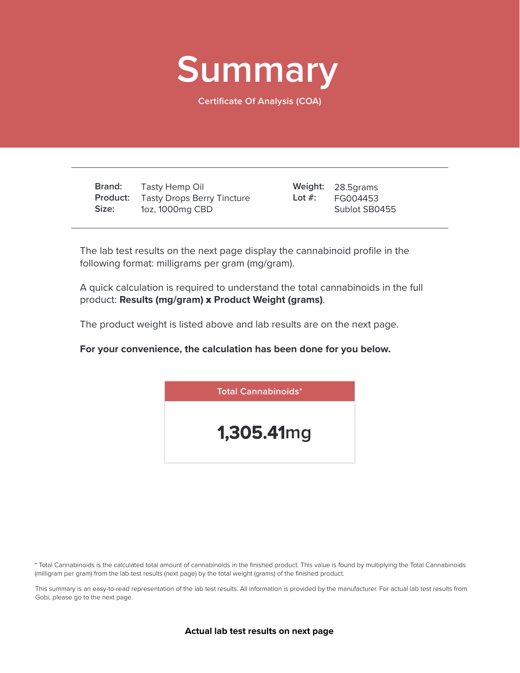

**Certificate Of Analysis (COA)**

**Brand: Product:** Tasty Drops Berry Tincture **Size:** Tasty Hemp Oil 1oz, 1000mg CBD

28.5grams **Weight:** FG004453 Sublot SB0455 **Lot #:**

The lab test results on the next page display the cannabinoid profile in the following format: milligrams per gram (mg/gram).

A quick calculation is required to understand the total cannabinoids in the full product: **Results (mg/gram)** x **Product Weight (grams)**.

The product weight is listed above and lab results are on the next page.

**For your convenience, the calculation has been done for you below.**



\* Total Cannabinoids is the calculated total amount of cannabinoids in the finished product. This value is found by multiplying the Total Cannabinoids (milligram per gram) from the lab test results (next page) by the total weight (grams) of the finished product.

This summary is an easy-to-read representation of the lab test results. All information is provided by the manufacturer. For actual lab test results from Gobi, please go to the next page.